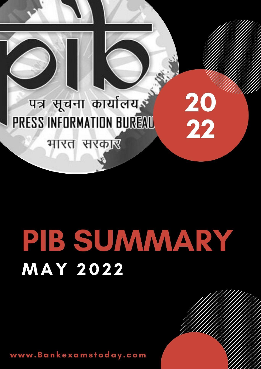

भारत सरकार

# PIB SUMMARY **MAY 2022**

20

22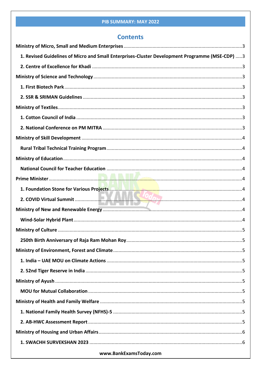# **Contents**

| 1. Revised Guidelines of Micro and Small Enterprises-Cluster Development Programme (MSE-CDP) 3 |  |
|------------------------------------------------------------------------------------------------|--|
|                                                                                                |  |
|                                                                                                |  |
|                                                                                                |  |
|                                                                                                |  |
|                                                                                                |  |
|                                                                                                |  |
|                                                                                                |  |
|                                                                                                |  |
|                                                                                                |  |
|                                                                                                |  |
|                                                                                                |  |
|                                                                                                |  |
|                                                                                                |  |
|                                                                                                |  |
|                                                                                                |  |
|                                                                                                |  |
|                                                                                                |  |
|                                                                                                |  |
|                                                                                                |  |
|                                                                                                |  |
|                                                                                                |  |
|                                                                                                |  |
|                                                                                                |  |
|                                                                                                |  |
|                                                                                                |  |
|                                                                                                |  |
|                                                                                                |  |
|                                                                                                |  |
|                                                                                                |  |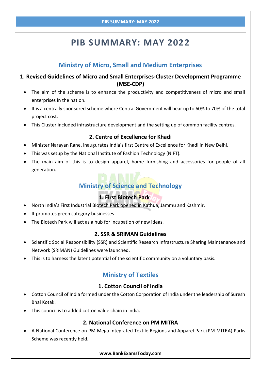# **Ministry of Micro, Small and Medium Enterprises**

# <span id="page-3-1"></span><span id="page-3-0"></span>**1. Revised Guidelines of Micro and Small Enterprises-Cluster Development Programme (MSE-CDP)**

- The aim of the scheme is to enhance the productivity and competitiveness of micro and small enterprises in the nation.
- It is a centrally sponsored scheme where Central Government will bear up to 60% to 70% of the total project cost.
- This Cluster included infrastructure development and the setting up of common facility centres.

### **2. Centre of Excellence for Khadi**

- <span id="page-3-2"></span>Minister Narayan Rane, inaugurates India's first Centre of Excellence for Khadi in New Delhi.
- This was setup by the National Institute of Fashion Technology (NIFT).
- <span id="page-3-3"></span> The main aim of this is to design apparel, home furnishing and accessories for people of all generation.

# **Ministry of Science and Technology**

# **1. First Biotech Park**

- <span id="page-3-4"></span>North India's First Industrial Biotech Park opened in Kathua, Jammu and Kashmir.
- It promotes green category businesses
- The Biotech Park will act as a hub for incubation of new ideas.

# **2. SSR & SRIMAN Guidelines**

- <span id="page-3-5"></span>• Scientific Social Responsibility (SSR) and Scientific Research Infrastructure Sharing Maintenance and Network (SRIMAN) Guidelines were launched.
- <span id="page-3-6"></span>This is to harness the latent potential of the scientific community on a voluntary basis.

# **Ministry of Textiles**

# **1. Cotton Council of India**

- <span id="page-3-7"></span> Cotton Council of India formed under the Cotton Corporation of India under the leadership of Suresh Bhai Kotak.
- This council is to added cotton value chain in India.

# **2. National Conference on PM MITRA**

<span id="page-3-8"></span> A National Conference on PM Mega Integrated Textile Regions and Apparel Park (PM MITRA) Parks Scheme was recently held.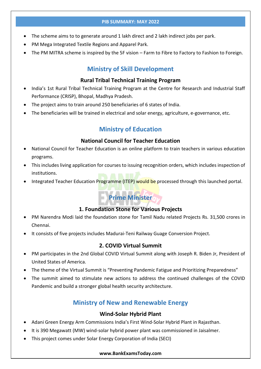- The scheme aims to to generate around 1 lakh direct and 2 lakh indirect jobs per park.
- PM Mega Integrated Textile Regions and Apparel Park.
- <span id="page-4-0"></span>The PM MITRA scheme is inspired by the 5F vision – Farm to Fibre to Factory to Fashion to Foreign.

# **Ministry of Skill Development**

#### **Rural Tribal Technical Training Program**

- <span id="page-4-1"></span>• India's 1st Rural Tribal Technical Training Program at the Centre for Research and Industrial Staff Performance (CRISP), Bhopal, Madhya Pradesh.
- The project aims to train around 250 beneficiaries of 6 states of India.
- <span id="page-4-2"></span>The beneficiaries will be trained in electrical and solar energy, agriculture, e-governance, etc.

# **Ministry of Education**

### **National Council for Teacher Education**

- <span id="page-4-3"></span> National Council for Teacher Education is an online platform to train teachers in various education programs.
- This includes living application for courses to issuing recognition orders, which includes inspection of institutions.
- <span id="page-4-4"></span>Integrated Teacher Education Programme (ITEP) would be processed through this launched portal.

# **Prime Minister**

#### **1. Foundation Stone for Various Projects**

- <span id="page-4-5"></span> PM Narendra Modi laid the foundation stone for Tamil Nadu related Projects Rs. 31,500 crores in Chennai.
- It consists of five projects includes Madurai-Teni Railway Guage Conversion Project.

# **2. COVID Virtual Summit**

- <span id="page-4-6"></span> PM participates in the 2nd Global COVID Virtual Summit along with Joseph R. Biden Jr, President of United States of America.
- The theme of the Virtual Summit is "Preventing Pandemic Fatigue and Prioritizing Preparedness"
- <span id="page-4-7"></span> The summit aimed to stimulate new actions to address the continued challenges of the COVID Pandemic and build a stronger global health security architecture.

# **Ministry of New and Renewable Energy**

#### **Wind-Solar Hybrid Plant**

- <span id="page-4-8"></span>Adani Green Energy Arm Commissions India's First Wind-Solar Hybrid Plant in Rajasthan.
- It is 390 Megawatt (MW) wind-solar hybrid power plant was commissioned in Jaisalmer.
- This project comes under Solar Energy Corporation of India (SECI)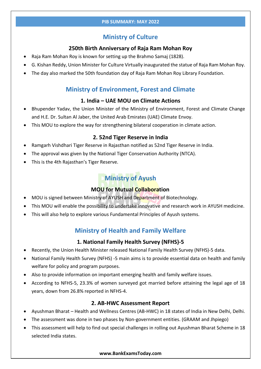# **Ministry of Culture**

# **250th Birth Anniversary of Raja Ram Mohan Roy**

- <span id="page-5-1"></span><span id="page-5-0"></span>Raja Ram Mohan Roy is known for setting up the Brahmo Samaj (1828).
- G. Kishan Reddy, Union Minister for Culture Virtually inaugurated the statue of Raja Ram Mohan Roy.
- <span id="page-5-2"></span>The day also marked the 50th foundation day of Raja Ram Mohan Roy Library Foundation.

# **Ministry of Environment, Forest and Climate**

# **1. India – UAE MOU on Climate Actions**

- <span id="page-5-3"></span> Bhupender Yadav, the Union Minister of the Ministry of Environment, Forest and Climate Change and H.E. Dr. Sultan Al Jaber, the United Arab Emirates (UAE) Climate Envoy.
- This MOU to explore the way for strengthening bilateral cooperation in climate action.

# **2. 52nd Tiger Reserve in India**

- <span id="page-5-4"></span>Ramgarh Vishdhari Tiger Reserve in Rajasthan notified as 52nd Tiger Reserve in India.
- The approval was given by the National Tiger Conservation Authority (NTCA).
- <span id="page-5-5"></span>This is the 4th Rajasthan's Tiger Reserve.

# **Ministry of Ayush**

# **MOU for Mutual Collaboration**

- <span id="page-5-6"></span>MOU is signed between Ministry of AYUSH and Department of Biotechnology.
- This MOU will enable the possibility to undertake innovative and research work in AYUSH medicine.
- <span id="page-5-7"></span>This will also help to explore various Fundamental Principles of Ayush systems.

# **Ministry of Health and Family Welfare**

# **1. National Family Health Survey (NFHS)-5**

- <span id="page-5-8"></span>Recently, the Union Health Minister released National Family Health Survey (NFHS)-5 data.
- National Family Health Survey (NFHS) -5 main aims is to provide essential data on health and family welfare for policy and program purposes.
- Also to provide information on important emerging health and family welfare issues.
- According to NFHS-5, 23.3% of women surveyed got married before attaining the legal age of 18 years, down from 26.8% reported in NFHS-4.

# **2. AB-HWC Assessment Report**

- <span id="page-5-9"></span>Ayushman Bharat – Health and Wellness Centres (AB-HWC) in 18 states of India in New Delhi, Delhi.
- The assessment was done in two phases by Non-government entities. (GRAAM and Jhpiego)
- This assessment will help to find out special challenges in rolling out Ayushman Bharat Scheme in 18 selected India states.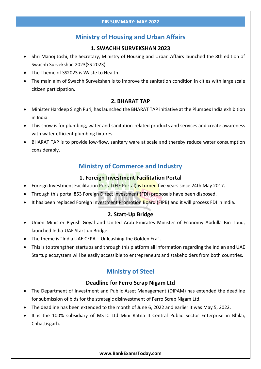# **Ministry of Housing and Urban Affairs**

#### **1. SWACHH SURVEKSHAN 2023**

- <span id="page-6-1"></span><span id="page-6-0"></span> Shri Manoj Joshi, the Secretary, Ministry of Housing and Urban Affairs launched the 8th edition of Swachh Survekshan 2023(SS 2023).
- The Theme of SS2023 is Waste to Health.
- The main aim of Swachh Survekshan is to improve the sanitation condition in cities with large scale citizen participation.

#### **2. BHARAT TAP**

- <span id="page-6-2"></span> Minister Hardeep Singh Puri, has launched the BHARAT TAP initiative at the Plumbex India exhibition in India.
- This show is for plumbing, water and sanitation-related products and services and create awareness with water efficient plumbing fixtures.
- <span id="page-6-3"></span> BHARAT TAP is to provide low-flow, sanitary ware at scale and thereby reduce water consumption considerably.

# **Ministry of Commerce and Industry**

# **1. Foreign Investment Facilitation Portal**

- <span id="page-6-4"></span>Foreign Investment Facilitation Portal (FIF Portal) is turned five years since 24th May 2017.
- Through this portal 853 Foreign Direct Investment (FDI) proposals have been disposed.
- It has been replaced Foreign Investment Promotion Board (FIPB) and it will process FDI in India.

# **2. Start-Up Bridge**

- <span id="page-6-5"></span> Union Minister Piyush Goyal and United Arab Emirates Minister of Economy Abdulla Bin Touq, launched India-UAE Start-up Bridge.
- The theme is "India UAE CEPA Unleashing the Golden Era".
- <span id="page-6-6"></span> This is to strengthen startups and through this platform all information regarding the Indian and UAE Startup ecosystem will be easily accessible to entrepreneurs and stakeholders from both countries.

# **Ministry of Steel**

#### **Deadline for Ferro Scrap Nigam Ltd**

- <span id="page-6-7"></span> The Department of Investment and Public Asset Management (DIPAM) has extended the deadline for submission of bids for the strategic disinvestment of Ferro Scrap Nigam Ltd.
- The deadline has been extended to the month of June 6, 2022 and earlier it was May 5, 2022.
- It is the 100% subsidiary of MSTC Ltd Mini Ratna II Central Public Sector Enterprise in Bhilai, Chhattisgarh.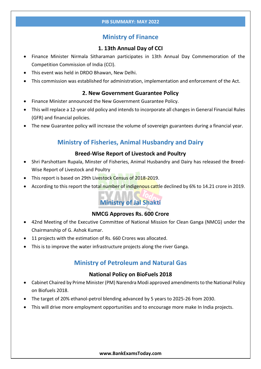# **Ministry of Finance**

# **1. 13th Annual Day of CCI**

- <span id="page-7-1"></span><span id="page-7-0"></span> Finance Minister Nirmala Sitharaman participates in 13th Annual Day Commemoration of the Competition Commission of India (CCI).
- This event was held in DRDO Bhawan, New Delhi.
- This commission was established for administration, implementation and enforcement of the Act.

### **2. New Government Guarantee Policy**

- <span id="page-7-2"></span>Finance Minister announced the New Government Guarantee Policy.
- This will replace a 12-year old policy and intends to incorporate all changes in General Financial Rules (GFR) and financial policies.
- <span id="page-7-3"></span>The new Guarantee policy will increase the volume of sovereign guarantees during a financial year.

# **Ministry of Fisheries, Animal Husbandry and Dairy**

# **Breed-Wise Report of Livestock and Poultry**

- <span id="page-7-4"></span> Shri Parshottam Rupala, Minster of Fisheries, Animal Husbandry and Dairy has released the Breed-Wise Report of Livestock and Poultry
- This report is based on 29th Livestock Census of 2018-2019.
- <span id="page-7-5"></span>• According to this report the total number of indigenous cattle declined by 6% to 14.21 crore in 2019.

# **Ministry of Jal Shakti**

# **NMCG Approves Rs. 600 Crore**

- <span id="page-7-6"></span> 42nd Meeting of the Executive Committee of National Mission for Clean Ganga (NMCG) under the Chairmanship of G. Ashok Kumar.
- 11 projects with the estimation of Rs. 660 Crores was allocated.
- <span id="page-7-7"></span>This is to improve the water infrastructure projects along the river Ganga.

# **Ministry of Petroleum and Natural Gas**

#### **National Policy on BioFuels 2018**

- <span id="page-7-8"></span> Cabinet Chaired by Prime Minister (PM) Narendra Modi approved amendments to the National Policy on Biofuels 2018.
- The target of 20% ethanol-petrol blending advanced by 5 years to 2025-26 from 2030.
- This will drive more employment opportunities and to encourage more make In India projects.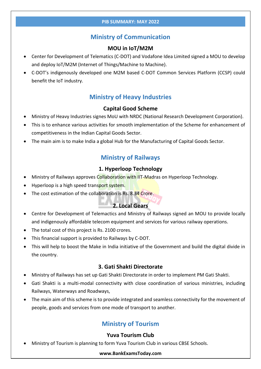# **Ministry of Communication**

# **MOU in IoT/M2M**

- <span id="page-8-1"></span><span id="page-8-0"></span> Center for Development of Telematics (C-DOT) and Vodafone Idea Limited signed a MOU to develop and deploy IoT/M2M (Internet of Things/Machine to Machine).
- <span id="page-8-2"></span> C-DOT's indigenously developed one M2M based C-DOT Common Services Platform (CCSP) could benefit the IoT industry.

# **Ministry of Heavy Industries**

### **Capital Good Scheme**

- <span id="page-8-3"></span>Ministry of Heavy Industries signes MoU with NRDC (National Research Development Corporation).
- This is to enhance various activities for smooth implementation of the Scheme for enhancement of competitiveness in the Indian Capital Goods Sector.
- <span id="page-8-4"></span>The main aim is to make India a global Hub for the Manufacturing of Capital Goods Sector.

# **Ministry of Railways**

# **1. Hyperloop Technology**

- <span id="page-8-5"></span>Ministry of Railways approves Collaboration with IIT-Madras on Hyperloop Technology.
- Hyperloop is a high speed transport system.
- The cost estimation of the collaboration is Rs. 8.34 Crore.

# **2. Local Gears**

- <span id="page-8-6"></span> Centre for Development of Telemactics and Ministry of Railways signed an MOU to provide locally and indigenously affordable telecom equipment and services for various railway operations.
- The total cost of this project is Rs. 2100 crores.
- This financial support is provided to Railways by C-DOT.
- This will help to boost the Make in India initiative of the Government and build the digital divide in the country.

#### **3. Gati Shakti Directorate**

- <span id="page-8-7"></span>Ministry of Railways has set up Gati Shakti Directorate in order to implement PM Gati Shakti.
- Gati Shakti is a multi-modal connectivity with close coordination of various ministries, including Railways, Waterways and Roadways,
- <span id="page-8-8"></span>• The main aim of this scheme is to provide integrated and seamless connectivity for the movement of people, goods and services from one mode of transport to another.

# **Ministry of Tourism**

#### **Yuva Tourism Club**

<span id="page-8-9"></span>Ministry of Tourism is planning to form Yuva Tourism Club in various CBSE Schools.